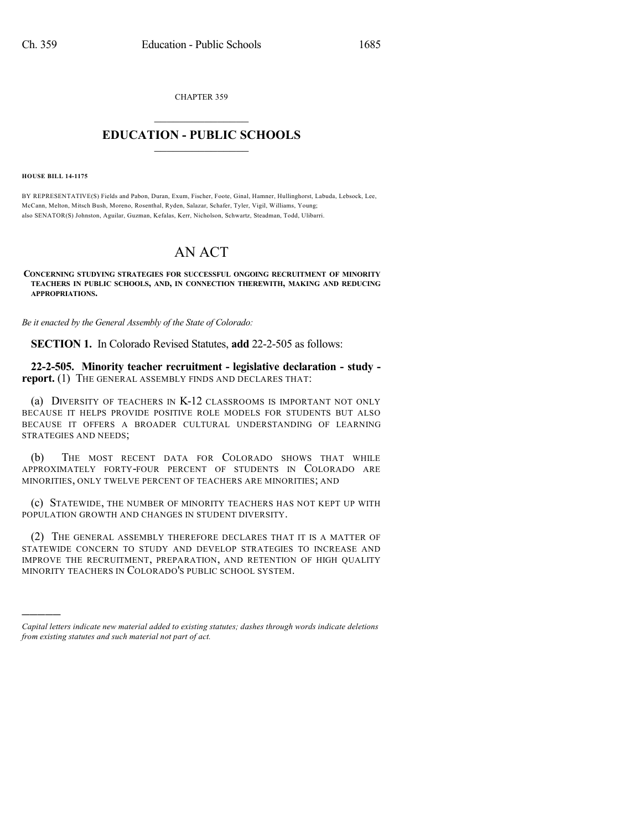CHAPTER 359  $\overline{\phantom{a}}$  . The set of the set of the set of the set of the set of the set of the set of the set of the set of the set of the set of the set of the set of the set of the set of the set of the set of the set of the set o

## **EDUCATION - PUBLIC SCHOOLS**  $\_$   $\_$   $\_$   $\_$   $\_$   $\_$   $\_$   $\_$   $\_$

**HOUSE BILL 14-1175**

)))))

BY REPRESENTATIVE(S) Fields and Pabon, Duran, Exum, Fischer, Foote, Ginal, Hamner, Hullinghorst, Labuda, Lebsock, Lee, McCann, Melton, Mitsch Bush, Moreno, Rosenthal, Ryden, Salazar, Schafer, Tyler, Vigil, Williams, Young; also SENATOR(S) Johnston, Aguilar, Guzman, Kefalas, Kerr, Nicholson, Schwartz, Steadman, Todd, Ulibarri.

## AN ACT

**CONCERNING STUDYING STRATEGIES FOR SUCCESSFUL ONGOING RECRUITMENT OF MINORITY TEACHERS IN PUBLIC SCHOOLS, AND, IN CONNECTION THEREWITH, MAKING AND REDUCING APPROPRIATIONS.**

*Be it enacted by the General Assembly of the State of Colorado:*

**SECTION 1.** In Colorado Revised Statutes, **add** 22-2-505 as follows:

**22-2-505. Minority teacher recruitment - legislative declaration - study report.** (1) THE GENERAL ASSEMBLY FINDS AND DECLARES THAT:

(a) DIVERSITY OF TEACHERS IN K-12 CLASSROOMS IS IMPORTANT NOT ONLY BECAUSE IT HELPS PROVIDE POSITIVE ROLE MODELS FOR STUDENTS BUT ALSO BECAUSE IT OFFERS A BROADER CULTURAL UNDERSTANDING OF LEARNING STRATEGIES AND NEEDS;

(b) THE MOST RECENT DATA FOR COLORADO SHOWS THAT WHILE APPROXIMATELY FORTY-FOUR PERCENT OF STUDENTS IN COLORADO ARE MINORITIES, ONLY TWELVE PERCENT OF TEACHERS ARE MINORITIES; AND

(c) STATEWIDE, THE NUMBER OF MINORITY TEACHERS HAS NOT KEPT UP WITH POPULATION GROWTH AND CHANGES IN STUDENT DIVERSITY.

(2) THE GENERAL ASSEMBLY THEREFORE DECLARES THAT IT IS A MATTER OF STATEWIDE CONCERN TO STUDY AND DEVELOP STRATEGIES TO INCREASE AND IMPROVE THE RECRUITMENT, PREPARATION, AND RETENTION OF HIGH QUALITY MINORITY TEACHERS IN COLORADO'S PUBLIC SCHOOL SYSTEM.

*Capital letters indicate new material added to existing statutes; dashes through words indicate deletions from existing statutes and such material not part of act.*